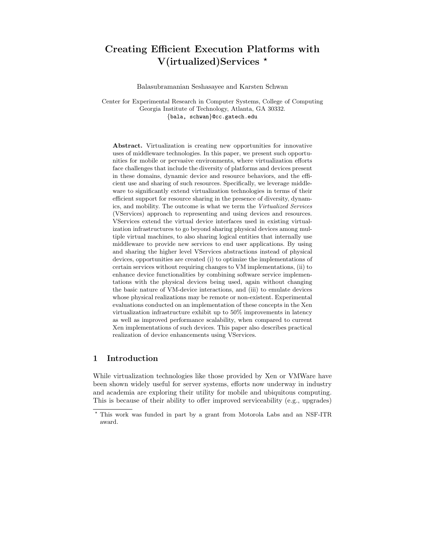# Creating Efficient Execution Platforms with V(irtualized)Services \*

Balasubramanian Seshasayee and Karsten Schwan

Center for Experimental Research in Computer Systems, College of Computing Georgia Institute of Technology, Atlanta, GA 30332. {bala, schwan}@cc.gatech.edu

Abstract. Virtualization is creating new opportunities for innovative uses of middleware technologies. In this paper, we present such opportunities for mobile or pervasive environments, where virtualization efforts face challenges that include the diversity of platforms and devices present in these domains, dynamic device and resource behaviors, and the efficient use and sharing of such resources. Specifically, we leverage middleware to significantly extend virtualization technologies in terms of their efficient support for resource sharing in the presence of diversity, dynamics, and mobility. The outcome is what we term the Virtualized Services (VServices) approach to representing and using devices and resources. VServices extend the virtual device interfaces used in existing virtualization infrastructures to go beyond sharing physical devices among multiple virtual machines, to also sharing logical entities that internally use middleware to provide new services to end user applications. By using and sharing the higher level VServices abstractions instead of physical devices, opportunities are created (i) to optimize the implementations of certain services without requiring changes to VM implementations, (ii) to enhance device functionalities by combining software service implementations with the physical devices being used, again without changing the basic nature of VM-device interactions, and (iii) to emulate devices whose physical realizations may be remote or non-existent. Experimental evaluations conducted on an implementation of these concepts in the Xen virtualization infrastructure exhibit up to 50% improvements in latency as well as improved performance scalability, when compared to current Xen implementations of such devices. This paper also describes practical realization of device enhancements using VServices.

### 1 Introduction

While virtualization technologies like those provided by Xen or VMWare have been shown widely useful for server systems, efforts now underway in industry and academia are exploring their utility for mobile and ubiquitous computing. This is because of their ability to offer improved serviceability (e.g., upgrades)

<sup>?</sup> This work was funded in part by a grant from Motorola Labs and an NSF-ITR award.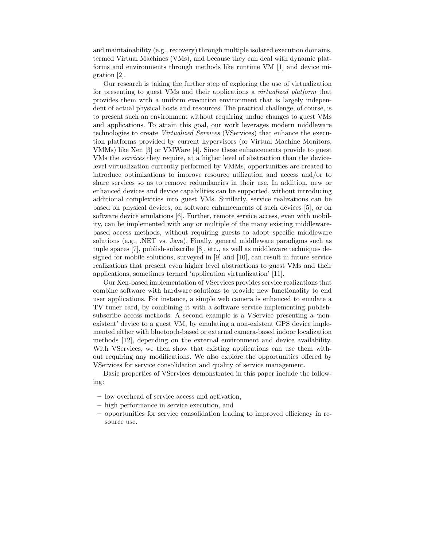and maintainability (e.g., recovery) through multiple isolated execution domains, termed Virtual Machines (VMs), and because they can deal with dynamic platforms and environments through methods like runtime VM [1] and device migration [2].

Our research is taking the further step of exploring the use of virtualization for presenting to guest VMs and their applications a virtualized platform that provides them with a uniform execution environment that is largely independent of actual physical hosts and resources. The practical challenge, of course, is to present such an environment without requiring undue changes to guest VMs and applications. To attain this goal, our work leverages modern middleware technologies to create Virtualized Services (VServices) that enhance the execution platforms provided by current hypervisors (or Virtual Machine Monitors, VMMs) like Xen [3] or VMWare [4]. Since these enhancements provide to guest VMs the services they require, at a higher level of abstraction than the devicelevel virtualization currently performed by VMMs, opportunities are created to introduce optimizations to improve resource utilization and access and/or to share services so as to remove redundancies in their use. In addition, new or enhanced devices and device capabilities can be supported, without introducing additional complexities into guest VMs. Similarly, service realizations can be based on physical devices, on software enhancements of such devices [5], or on software device emulations [6]. Further, remote service access, even with mobility, can be implemented with any or multiple of the many existing middlewarebased access methods, without requiring guests to adopt specific middleware solutions (e.g., .NET vs. Java). Finally, general middleware paradigms such as tuple spaces [7], publish-subscribe [8], etc., as well as middleware techniques designed for mobile solutions, surveyed in  $[9]$  and  $[10]$ , can result in future service realizations that present even higher level abstractions to guest VMs and their applications, sometimes termed 'application virtualization' [11].

Our Xen-based implementation of VServices provides service realizations that combine software with hardware solutions to provide new functionality to end user applications. For instance, a simple web camera is enhanced to emulate a TV tuner card, by combining it with a software service implementing publishsubscribe access methods. A second example is a VService presenting a 'nonexistent' device to a guest VM, by emulating a non-existent GPS device implemented either with bluetooth-based or external camera-based indoor localization methods [12], depending on the external environment and device availability. With VServices, we then show that existing applications can use them without requiring any modifications. We also explore the opportunities offered by VServices for service consolidation and quality of service management.

Basic properties of VServices demonstrated in this paper include the following:

- low overhead of service access and activation,
- high performance in service execution, and
- opportunities for service consolidation leading to improved efficiency in resource use.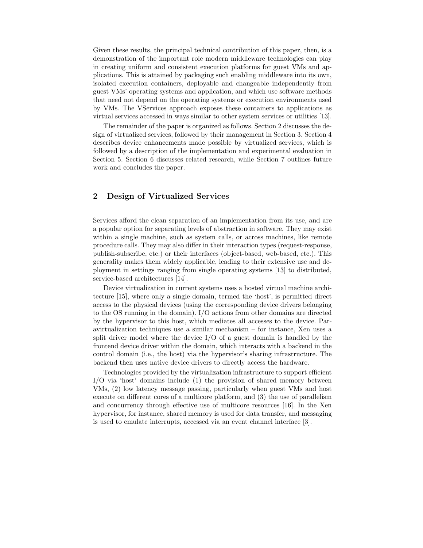Given these results, the principal technical contribution of this paper, then, is a demonstration of the important role modern middleware technologies can play in creating uniform and consistent execution platforms for guest VMs and applications. This is attained by packaging such enabling middleware into its own, isolated execution containers, deployable and changeable independently from guest VMs' operating systems and application, and which use software methods that need not depend on the operating systems or execution environments used by VMs. The VServices approach exposes these containers to applications as virtual services accessed in ways similar to other system services or utilities [13].

The remainder of the paper is organized as follows. Section 2 discusses the design of virtualized services, followed by their management in Section 3. Section 4 describes device enhancements made possible by virtualized services, which is followed by a description of the implementation and experimental evaluation in Section 5. Section 6 discusses related research, while Section 7 outlines future work and concludes the paper.

### 2 Design of Virtualized Services

Services afford the clean separation of an implementation from its use, and are a popular option for separating levels of abstraction in software. They may exist within a single machine, such as system calls, or across machines, like remote procedure calls. They may also differ in their interaction types (request-response, publish-subscribe, etc.) or their interfaces (object-based, web-based, etc.). This generality makes them widely applicable, leading to their extensive use and deployment in settings ranging from single operating systems [13] to distributed, service-based architectures [14].

Device virtualization in current systems uses a hosted virtual machine architecture [15], where only a single domain, termed the 'host', is permitted direct access to the physical devices (using the corresponding device drivers belonging to the OS running in the domain). I/O actions from other domains are directed by the hypervisor to this host, which mediates all accesses to the device. Paravirtualization techniques use a similar mechanism – for instance, Xen uses a split driver model where the device  $I/O$  of a guest domain is handled by the frontend device driver within the domain, which interacts with a backend in the control domain (i.e., the host) via the hypervisor's sharing infrastructure. The backend then uses native device drivers to directly access the hardware.

Technologies provided by the virtualization infrastructure to support efficient I/O via 'host' domains include (1) the provision of shared memory between VMs, (2) low latency message passing, particularly when guest VMs and host execute on different cores of a multicore platform, and (3) the use of parallelism and concurrency through effective use of multicore resources [16]. In the Xen hypervisor, for instance, shared memory is used for data transfer, and messaging is used to emulate interrupts, accessed via an event channel interface [3].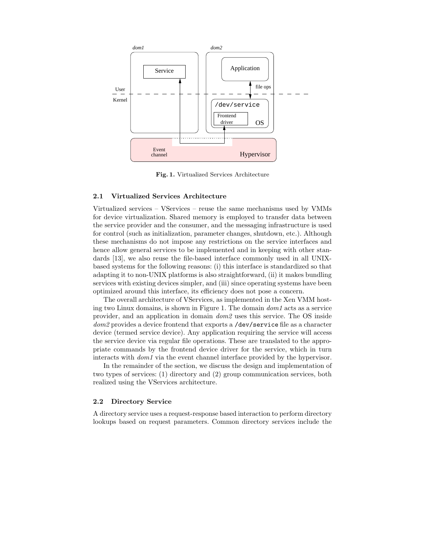

Fig. 1. Virtualized Services Architecture

#### 2.1 Virtualized Services Architecture

Virtualized services – VServices – reuse the same mechanisms used by VMMs for device virtualization. Shared memory is employed to transfer data between the service provider and the consumer, and the messaging infrastructure is used for control (such as initialization, parameter changes, shutdown, etc.). Although these mechanisms do not impose any restrictions on the service interfaces and hence allow general services to be implemented and in keeping with other standards [13], we also reuse the file-based interface commonly used in all UNIXbased systems for the following reasons: (i) this interface is standardized so that adapting it to non-UNIX platforms is also straightforward, (ii) it makes bundling services with existing devices simpler, and (iii) since operating systems have been optimized around this interface, its efficiency does not pose a concern.

The overall architecture of VServices, as implemented in the Xen VMM hosting two Linux domains, is shown in Figure 1. The domain dom1 acts as a service provider, and an application in domain dom2 uses this service. The OS inside dom<sub>2</sub> provides a device frontend that exports a /dev/service file as a character device (termed service device). Any application requiring the service will access the service device via regular file operations. These are translated to the appropriate commands by the frontend device driver for the service, which in turn interacts with dom1 via the event channel interface provided by the hypervisor.

In the remainder of the section, we discuss the design and implementation of two types of services: (1) directory and (2) group communication services, both realized using the VServices architecture.

#### 2.2 Directory Service

A directory service uses a request-response based interaction to perform directory lookups based on request parameters. Common directory services include the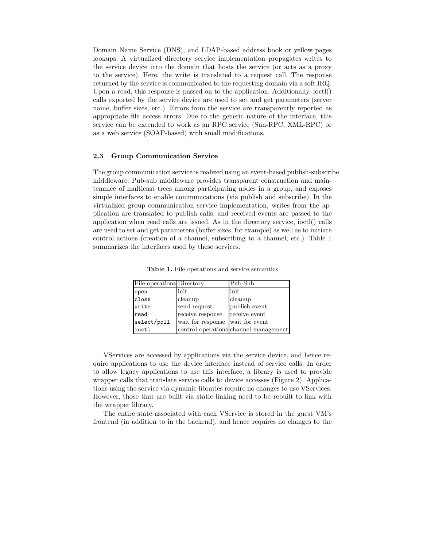Domain Name Service (DNS), and LDAP-based address book or yellow pages lookups. A virtualized directory service implementation propagates writes to the service device into the domain that hosts the service (or acts as a proxy to the service). Here, the write is translated to a request call. The response returned by the service is communicated to the requesting domain via a soft IRQ. Upon a read, this response is passed on to the application. Additionally, ioctl() calls exported by the service device are used to set and get parameters (server name, buffer sizes, etc.). Errors from the service are transparently reported as appropriate file access errors. Due to the generic nature of the interface, this service can be extended to work as an RPC service (Sun-RPC, XML-RPC) or as a web service (SOAP-based) with small modifications.

### 2.3 Group Communication Service

The group communication service is realized using an event-based publish-subscribe middleware. Pub-sub middleware provides transparent construction and maintenance of multicast trees among participating nodes in a group, and exposes simple interfaces to enable communications (via publish and subscribe). In the virtualized group communication service implementation, writes from the application are translated to publish calls, and received events are passed to the application when read calls are issued. As in the directory service, ioctl() calls are used to set and get parameters (buffer sizes, for example) as well as to initiate control actions (creation of a channel, subscribing to a channel, etc.). Table 1 summarizes the interfaces used by these services.

| File operations Directory |                   | Pub-Sub                               |
|---------------------------|-------------------|---------------------------------------|
| open                      | init              | init                                  |
| close                     | cleanup           | cleanup                               |
| write                     | send request      | publish event                         |
| read                      | receive response  | receive event                         |
| select/poll               | wait for response | wait for event                        |
| ioctl                     |                   | control operations channel management |

Table 1. File operations and service semantics

VServices are accessed by applications via the service device, and hence require applications to use the device interface instead of service calls. In order to allow legacy applications to use this interface, a library is used to provide wrapper calls that translate service calls to device accesses (Figure 2). Applications using the service via dynamic libraries require no changes to use VServices. However, those that are built via static linking need to be rebuilt to link with the wrapper library.

The entire state associated with each VService is stored in the guest VM's frontend (in addition to in the backend), and hence requires no changes to the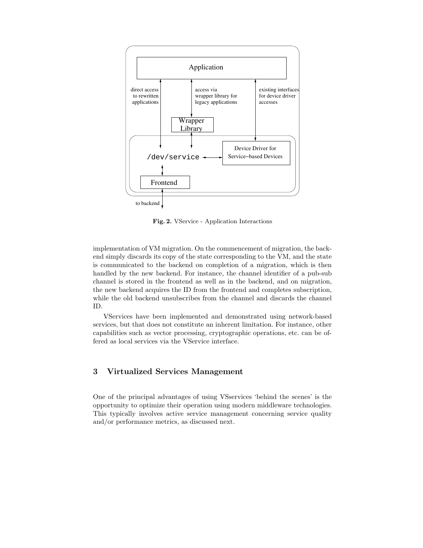

Fig. 2. VService - Application Interactions

implementation of VM migration. On the commencement of migration, the backend simply discards its copy of the state corresponding to the VM, and the state is communicated to the backend on completion of a migration, which is then handled by the new backend. For instance, the channel identifier of a pub-sub channel is stored in the frontend as well as in the backend, and on migration, the new backend acquires the ID from the frontend and completes subscription, while the old backend unsubscribes from the channel and discards the channel ID.

VServices have been implemented and demonstrated using network-based services, but that does not constitute an inherent limitation. For instance, other capabilities such as vector processing, cryptographic operations, etc. can be offered as local services via the VService interface.

### 3 Virtualized Services Management

One of the principal advantages of using VSservices 'behind the scenes' is the opportunity to optimize their operation using modern middleware technologies. This typically involves active service management concerning service quality and/or performance metrics, as discussed next.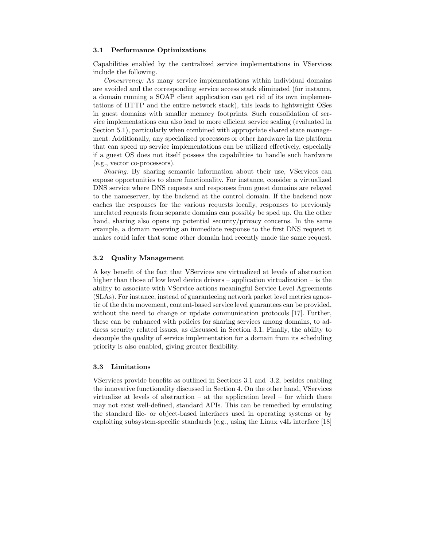### 3.1 Performance Optimizations

Capabilities enabled by the centralized service implementations in VServices include the following.

Concurrency: As many service implementations within individual domains are avoided and the corresponding service access stack eliminated (for instance, a domain running a SOAP client application can get rid of its own implementations of HTTP and the entire network stack), this leads to lightweight OSes in guest domains with smaller memory footprints. Such consolidation of service implementations can also lead to more efficient service scaling (evaluated in Section 5.1), particularly when combined with appropriate shared state management. Additionally, any specialized processors or other hardware in the platform that can speed up service implementations can be utilized effectively, especially if a guest OS does not itself possess the capabilities to handle such hardware (e.g., vector co-processors).

Sharing: By sharing semantic information about their use, VServices can expose opportunities to share functionality. For instance, consider a virtualized DNS service where DNS requests and responses from guest domains are relayed to the nameserver, by the backend at the control domain. If the backend now caches the responses for the various requests locally, responses to previously unrelated requests from separate domains can possibly be sped up. On the other hand, sharing also opens up potential security/privacy concerns. In the same example, a domain receiving an immediate response to the first DNS request it makes could infer that some other domain had recently made the same request.

### 3.2 Quality Management

A key benefit of the fact that VServices are virtualized at levels of abstraction higher than those of low level device drivers – application virtualization – is the ability to associate with VService actions meaningful Service Level Agreements (SLAs). For instance, instead of guaranteeing network packet level metrics agnostic of the data movement, content-based service level guarantees can be provided, without the need to change or update communication protocols [17]. Further, these can be enhanced with policies for sharing services among domains, to address security related issues, as discussed in Section 3.1. Finally, the ability to decouple the quality of service implementation for a domain from its scheduling priority is also enabled, giving greater flexibility.

#### 3.3 Limitations

VServices provide benefits as outlined in Sections 3.1 and 3.2, besides enabling the innovative functionality discussed in Section 4. On the other hand, VServices virtualize at levels of abstraction – at the application level – for which there may not exist well-defined, standard APIs. This can be remedied by emulating the standard file- or object-based interfaces used in operating systems or by exploiting subsystem-specific standards (e.g., using the Linux v4L interface [18]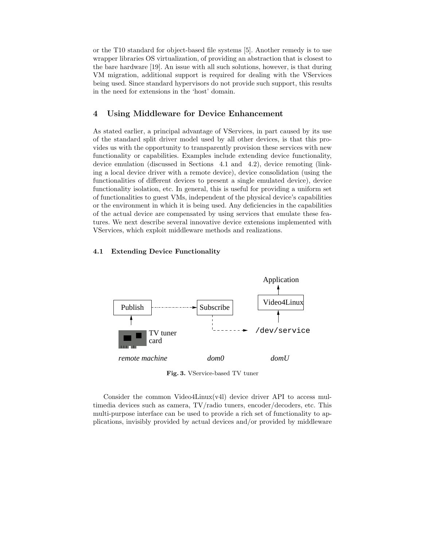or the T10 standard for object-based file systems [5]. Another remedy is to use wrapper libraries OS virtualization, of providing an abstraction that is closest to the bare hardware [19]. An issue with all such solutions, however, is that during VM migration, additional support is required for dealing with the VServices being used. Since standard hypervisors do not provide such support, this results in the need for extensions in the 'host' domain.

## 4 Using Middleware for Device Enhancement

As stated earlier, a principal advantage of VServices, in part caused by its use of the standard split driver model used by all other devices, is that this provides us with the opportunity to transparently provision these services with new functionality or capabilities. Examples include extending device functionality, device emulation (discussed in Sections 4.1 and 4.2), device remoting (linking a local device driver with a remote device), device consolidation (using the functionalities of different devices to present a single emulated device), device functionality isolation, etc. In general, this is useful for providing a uniform set of functionalities to guest VMs, independent of the physical device's capabilities or the environment in which it is being used. Any deficiencies in the capabilities of the actual device are compensated by using services that emulate these features. We next describe several innovative device extensions implemented with VServices, which exploit middleware methods and realizations.

### 4.1 Extending Device Functionality



Fig. 3. VService-based TV tuner

Consider the common Video4Linux(v4l) device driver API to access multimedia devices such as camera, TV/radio tuners, encoder/decoders, etc. This multi-purpose interface can be used to provide a rich set of functionality to applications, invisibly provided by actual devices and/or provided by middleware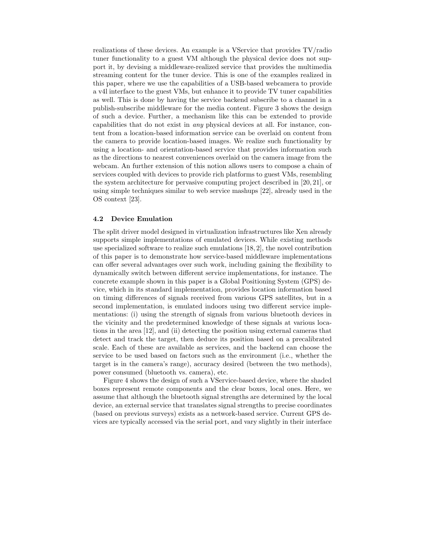realizations of these devices. An example is a VService that provides TV/radio tuner functionality to a guest VM although the physical device does not support it, by devising a middleware-realized service that provides the multimedia streaming content for the tuner device. This is one of the examples realized in this paper, where we use the capabilities of a USB-based webcamera to provide a v4l interface to the guest VMs, but enhance it to provide TV tuner capabilities as well. This is done by having the service backend subscribe to a channel in a publish-subscribe middleware for the media content. Figure 3 shows the design of such a device. Further, a mechanism like this can be extended to provide capabilities that do not exist in any physical devices at all. For instance, content from a location-based information service can be overlaid on content from the camera to provide location-based images. We realize such functionality by using a location- and orientation-based service that provides information such as the directions to nearest conveniences overlaid on the camera image from the webcam. An further extension of this notion allows users to compose a chain of services coupled with devices to provide rich platforms to guest VMs, resembling the system architecture for pervasive computing project described in [20, 21], or using simple techniques similar to web service mashups [22], already used in the OS context [23].

### 4.2 Device Emulation

The split driver model designed in virtualization infrastructures like Xen already supports simple implementations of emulated devices. While existing methods use specialized software to realize such emulations [18, 2], the novel contribution of this paper is to demonstrate how service-based middleware implementations can offer several advantages over such work, including gaining the flexibility to dynamically switch between different service implementations, for instance. The concrete example shown in this paper is a Global Positioning System (GPS) device, which in its standard implementation, provides location information based on timing differences of signals received from various GPS satellites, but in a second implementation, is emulated indoors using two different service implementations: (i) using the strength of signals from various bluetooth devices in the vicinity and the predetermined knowledge of these signals at various locations in the area [12], and (ii) detecting the position using external cameras that detect and track the target, then deduce its position based on a precalibrated scale. Each of these are available as services, and the backend can choose the service to be used based on factors such as the environment (i.e., whether the target is in the camera's range), accuracy desired (between the two methods), power consumed (bluetooth vs. camera), etc.

Figure 4 shows the design of such a VService-based device, where the shaded boxes represent remote components and the clear boxes, local ones. Here, we assume that although the bluetooth signal strengths are determined by the local device, an external service that translates signal strengths to precise coordinates (based on previous surveys) exists as a network-based service. Current GPS devices are typically accessed via the serial port, and vary slightly in their interface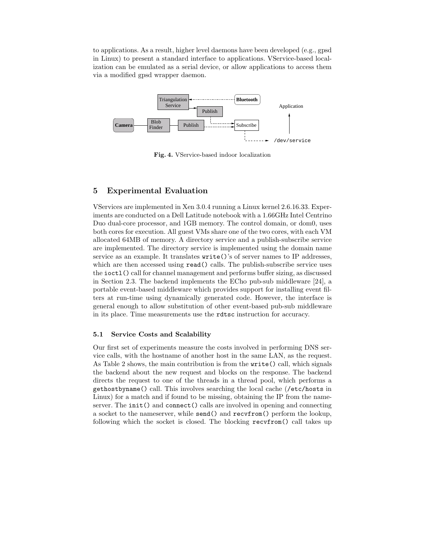to applications. As a result, higher level daemons have been developed (e.g., gpsd in Linux) to present a standard interface to applications. VService-based localization can be emulated as a serial device, or allow applications to access them via a modified gpsd wrapper daemon.



Fig. 4. VService-based indoor localization

# 5 Experimental Evaluation

VServices are implemented in Xen 3.0.4 running a Linux kernel 2.6.16.33. Experiments are conducted on a Dell Latitude notebook with a 1.66GHz Intel Centrino Duo dual-core processor, and 1GB memory. The control domain, or dom0, uses both cores for execution. All guest VMs share one of the two cores, with each VM allocated 64MB of memory. A directory service and a publish-subscribe service are implemented. The directory service is implemented using the domain name service as an example. It translates write()'s of server names to IP addresses, which are then accessed using **read**() calls. The publish-subscribe service uses the ioctl() call for channel management and performs buffer sizing, as discussed in Section 2.3. The backend implements the ECho pub-sub middleware [24], a portable event-based middleware which provides support for installing event filters at run-time using dynamically generated code. However, the interface is general enough to allow substitution of other event-based pub-sub middleware in its place. Time measurements use the rdtsc instruction for accuracy.

### 5.1 Service Costs and Scalability

Our first set of experiments measure the costs involved in performing DNS service calls, with the hostname of another host in the same LAN, as the request. As Table 2 shows, the main contribution is from the write() call, which signals the backend about the new request and blocks on the response. The backend directs the request to one of the threads in a thread pool, which performs a gethostbyname() call. This involves searching the local cache (/etc/hosts in Linux) for a match and if found to be missing, obtaining the IP from the nameserver. The init() and connect() calls are involved in opening and connecting a socket to the nameserver, while send() and recvfrom() perform the lookup, following which the socket is closed. The blocking recvfrom() call takes up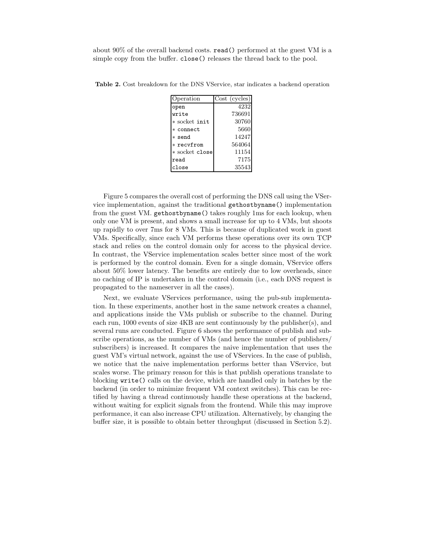about 90% of the overall backend costs. read() performed at the guest VM is a simple copy from the buffer. close() releases the thread back to the pool.

| Operation      | Cost (cycles) |
|----------------|---------------|
| open           | 4232          |
| write          | 736691        |
| * socket init  | 30760         |
| * connect      | 5660          |
| * send         | 14247         |
| $*$ recvfrom   | 564064        |
| * socket close | 11154         |
| read           | 7175          |
| close          | 35543         |

Table 2. Cost breakdown for the DNS VService, star indicates a backend operation

Figure 5 compares the overall cost of performing the DNS call using the VService implementation, against the traditional gethostbyname() implementation from the guest VM. gethostbyname() takes roughly 1ms for each lookup, when only one VM is present, and shows a small increase for up to 4 VMs, but shoots up rapidly to over 7ms for 8 VMs. This is because of duplicated work in guest VMs. Specifically, since each VM performs these operations over its own TCP stack and relies on the control domain only for access to the physical device. In contrast, the VService implementation scales better since most of the work is performed by the control domain. Even for a single domain, VService offers about 50% lower latency. The benefits are entirely due to low overheads, since no caching of IP is undertaken in the control domain (i.e., each DNS request is propagated to the nameserver in all the cases).

Next, we evaluate VServices performance, using the pub-sub implementation. In these experiments, another host in the same network creates a channel, and applications inside the VMs publish or subscribe to the channel. During each run, 1000 events of size 4KB are sent continuously by the publisher(s), and several runs are conducted. Figure 6 shows the performance of publish and subscribe operations, as the number of VMs (and hence the number of publishers/ subscribers) is increased. It compares the naive implementation that uses the guest VM's virtual network, against the use of VServices. In the case of publish, we notice that the naive implementation performs better than VService, but scales worse. The primary reason for this is that publish operations translate to blocking write() calls on the device, which are handled only in batches by the backend (in order to minimize frequent VM context switches). This can be rectified by having a thread continuously handle these operations at the backend, without waiting for explicit signals from the frontend. While this may improve performance, it can also increase CPU utilization. Alternatively, by changing the buffer size, it is possible to obtain better throughput (discussed in Section 5.2).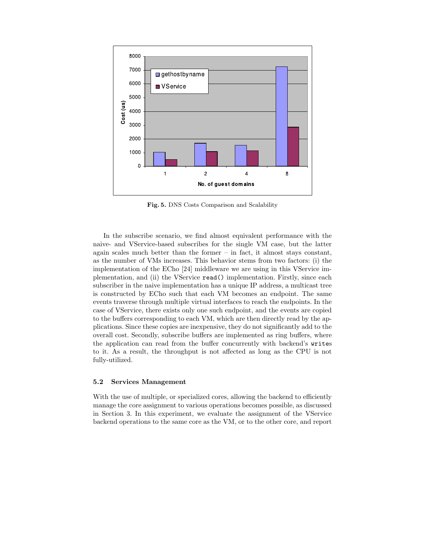

Fig. 5. DNS Costs Comparison and Scalability

In the subscribe scenario, we find almost equivalent performance with the naive- and VService-based subscribes for the single VM case, but the latter again scales much better than the former – in fact, it almost stays constant, as the number of VMs increases. This behavior stems from two factors: (i) the implementation of the ECho [24] middleware we are using in this VService implementation, and (ii) the VService read() implementation. Firstly, since each subscriber in the naive implementation has a unique IP address, a multicast tree is constructed by ECho such that each VM becomes an endpoint. The same events traverse through multiple virtual interfaces to reach the endpoints. In the case of VService, there exists only one such endpoint, and the events are copied to the buffers corresponding to each VM, which are then directly read by the applications. Since these copies are inexpensive, they do not significantly add to the overall cost. Secondly, subscribe buffers are implemented as ring buffers, where the application can read from the buffer concurrently with backend's writes to it. As a result, the throughput is not affected as long as the CPU is not fully-utilized.

### 5.2 Services Management

With the use of multiple, or specialized cores, allowing the backend to efficiently manage the core assignment to various operations becomes possible, as discussed in Section 3. In this experiment, we evaluate the assignment of the VService backend operations to the same core as the VM, or to the other core, and report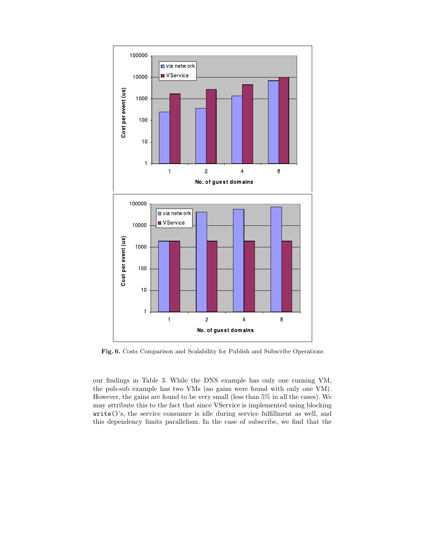

Fig. 6. Costs Comparison and Scalability for Publish and Subscribe Operations

our findings in Table 3. While the DNS example has only one running VM, the pub-sub example has two VMs (no gains were found with only one VM). However, the gains are found to be very small (less than 5% in all the cases). We may attribute this to the fact that since VService is implemented using blocking write()'s, the service consumer is idle during service fulfillment as well, and this dependency limits parallelism. In the case of subscribe, we find that the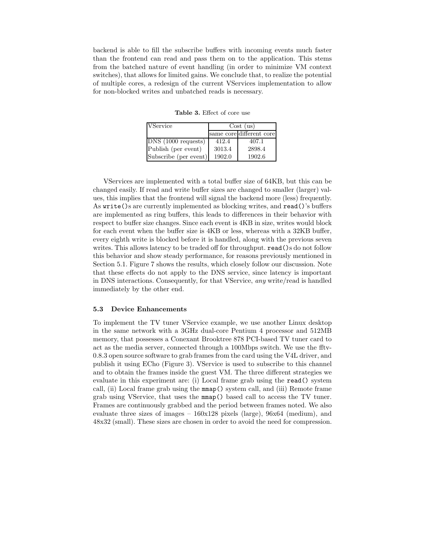backend is able to fill the subscribe buffers with incoming events much faster than the frontend can read and pass them on to the application. This stems from the batched nature of event handling (in order to minimize VM context switches), that allows for limited gains. We conclude that, to realize the potential of multiple cores, a redesign of the current VServices implementation to allow for non-blocked writes and unbatched reads is necessary.

| <b>VService</b>       | Cost (us) |                          |  |
|-----------------------|-----------|--------------------------|--|
|                       |           | same core different core |  |
| DNS(1000 requests)    | 412.4     | 407.1                    |  |
| Publish (per event)   | 3013.4    | 2898.4                   |  |
| Subscribe (per event) | 1902.0    | 1902.6                   |  |

Table 3. Effect of core use

VServices are implemented with a total buffer size of 64KB, but this can be changed easily. If read and write buffer sizes are changed to smaller (larger) values, this implies that the frontend will signal the backend more (less) frequently. As write()s are currently implemented as blocking writes, and read()'s buffers are implemented as ring buffers, this leads to differences in their behavior with respect to buffer size changes. Since each event is 4KB in size, writes would block for each event when the buffer size is 4KB or less, whereas with a 32KB buffer, every eighth write is blocked before it is handled, along with the previous seven writes. This allows latency to be traded off for throughput. read()s do not follow this behavior and show steady performance, for reasons previously mentioned in Section 5.1. Figure 7 shows the results, which closely follow our discussion. Note that these effects do not apply to the DNS service, since latency is important in DNS interactions. Consequently, for that VService, any write/read is handled immediately by the other end.

#### 5.3 Device Enhancements

To implement the TV tuner VService example, we use another Linux desktop in the same network with a 3GHz dual-core Pentium 4 processor and 512MB memory, that possesses a Conexant Brooktree 878 PCI-based TV tuner card to act as the media server, connected through a 100Mbps switch. We use the fftv-0.8.3 open source software to grab frames from the card using the V4L driver, and publish it using ECho (Figure 3). VService is used to subscribe to this channel and to obtain the frames inside the guest VM. The three different strategies we evaluate in this experiment are: (i) Local frame grab using the read() system call, (ii) Local frame grab using the mmap() system call, and (iii) Remote frame grab using VService, that uses the mmap() based call to access the TV tuner. Frames are continuously grabbed and the period between frames noted. We also evaluate three sizes of images –  $160x128$  pixels (large),  $96x64$  (medium), and 48x32 (small). These sizes are chosen in order to avoid the need for compression.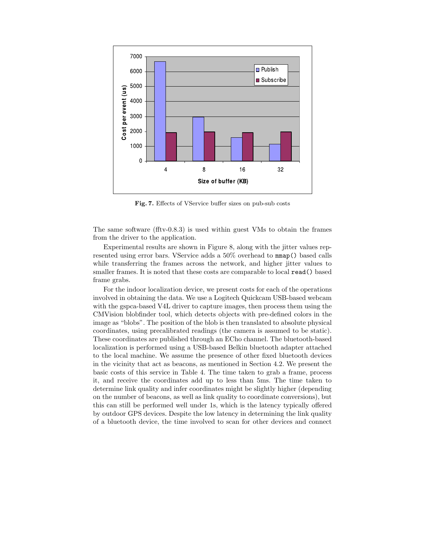

Fig. 7. Effects of VService buffer sizes on pub-sub costs

The same software (fftv-0.8.3) is used within guest VMs to obtain the frames from the driver to the application.

Experimental results are shown in Figure 8, along with the jitter values represented using error bars. VService adds a 50% overhead to mmap() based calls while transferring the frames across the network, and higher jitter values to smaller frames. It is noted that these costs are comparable to local read() based frame grabs.

For the indoor localization device, we present costs for each of the operations involved in obtaining the data. We use a Logitech Quickcam USB-based webcam with the gspca-based V4L driver to capture images, then process them using the CMVision blobfinder tool, which detects objects with pre-defined colors in the image as "blobs". The position of the blob is then translated to absolute physical coordinates, using precalibrated readings (the camera is assumed to be static). These coordinates are published through an ECho channel. The bluetooth-based localization is performed using a USB-based Belkin bluetooth adapter attached to the local machine. We assume the presence of other fixed bluetooth devices in the vicinity that act as beacons, as mentioned in Section 4.2. We present the basic costs of this service in Table 4. The time taken to grab a frame, process it, and receive the coordinates add up to less than 5ms. The time taken to determine link quality and infer coordinates might be slightly higher (depending on the number of beacons, as well as link quality to coordinate conversions), but this can still be performed well under 1s, which is the latency typically offered by outdoor GPS devices. Despite the low latency in determining the link quality of a bluetooth device, the time involved to scan for other devices and connect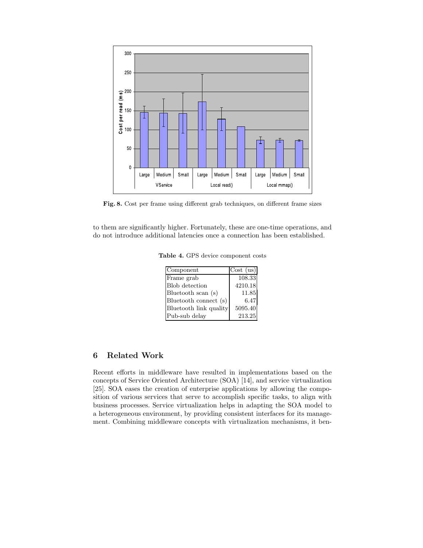

Fig. 8. Cost per frame using different grab techniques, on different frame sizes

to them are significantly higher. Fortunately, these are one-time operations, and do not introduce additional latencies once a connection has been established.

Table 4. GPS device component costs

| Component              | Cost (us) |
|------------------------|-----------|
| Frame grab             | 108.33    |
| <b>Blob</b> detection  | 4210.18   |
| Bluetooth scan (s)     | 11.85     |
| Bluetooth connect (s)  | 6.47      |
| Bluetooth link quality | 5095.40   |
| Pub-sub delay          | 213.25    |

# 6 Related Work

Recent efforts in middleware have resulted in implementations based on the concepts of Service Oriented Architecture (SOA) [14], and service virtualization [25]. SOA eases the creation of enterprise applications by allowing the composition of various services that serve to accomplish specific tasks, to align with business processes. Service virtualization helps in adapting the SOA model to a heterogeneous environment, by providing consistent interfaces for its management. Combining middleware concepts with virtualization mechanisms, it ben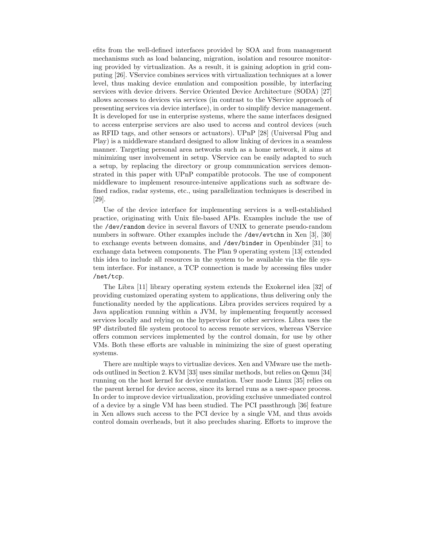efits from the well-defined interfaces provided by SOA and from management mechanisms such as load balancing, migration, isolation and resource monitoring provided by virtualization. As a result, it is gaining adoption in grid computing [26]. VService combines services with virtualization techniques at a lower level, thus making device emulation and composition possible, by interfacing services with device drivers. Service Oriented Device Architecture (SODA) [27] allows accesses to devices via services (in contrast to the VService approach of presenting services via device interface), in order to simplify device management. It is developed for use in enterprise systems, where the same interfaces designed to access enterprise services are also used to access and control devices (such as RFID tags, and other sensors or actuators). UPnP [28] (Universal Plug and Play) is a middleware standard designed to allow linking of devices in a seamless manner. Targeting personal area networks such as a home network, it aims at minimizing user involvement in setup. VService can be easily adapted to such a setup, by replacing the directory or group communication services demonstrated in this paper with UPnP compatible protocols. The use of component middleware to implement resource-intensive applications such as software defined radios, radar systems, etc., using parallelization techniques is described in [29].

Use of the device interface for implementing services is a well-established practice, originating with Unix file-based APIs. Examples include the use of the /dev/random device in several flavors of UNIX to generate pseudo-random numbers in software. Other examples include the /dev/evtchn in Xen [3], [30] to exchange events between domains, and /dev/binder in Openbinder [31] to exchange data between components. The Plan 9 operating system [13] extended this idea to include all resources in the system to be available via the file system interface. For instance, a TCP connection is made by accessing files under /net/tcp.

The Libra [11] library operating system extends the Exokernel idea [32] of providing customized operating system to applications, thus delivering only the functionality needed by the applications. Libra provides services required by a Java application running within a JVM, by implementing frequently accessed services locally and relying on the hypervisor for other services. Libra uses the 9P distributed file system protocol to access remote services, whereas VService offers common services implemented by the control domain, for use by other VMs. Both these efforts are valuable in minimizing the size of guest operating systems.

There are multiple ways to virtualize devices. Xen and VMware use the methods outlined in Section 2. KVM [33] uses similar methods, but relies on Qemu [34] running on the host kernel for device emulation. User mode Linux [35] relies on the parent kernel for device access, since its kernel runs as a user-space process. In order to improve device virtualization, providing exclusive unmediated control of a device by a single VM has been studied. The PCI passthrough [36] feature in Xen allows such access to the PCI device by a single VM, and thus avoids control domain overheads, but it also precludes sharing. Efforts to improve the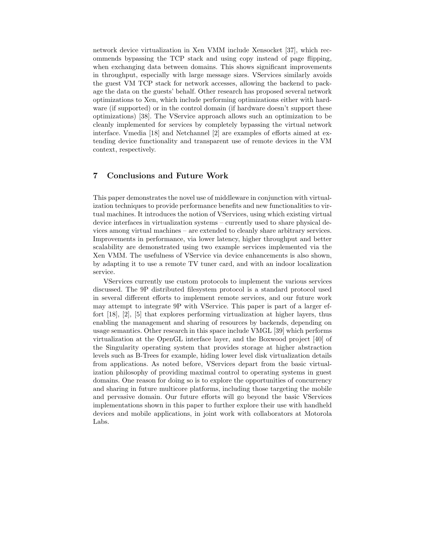network device virtualization in Xen VMM include Xensocket [37], which recommends bypassing the TCP stack and using copy instead of page flipping, when exchanging data between domains. This shows significant improvements in throughput, especially with large message sizes. VServices similarly avoids the guest VM TCP stack for network accesses, allowing the backend to package the data on the guests' behalf. Other research has proposed several network optimizations to Xen, which include performing optimizations either with hardware (if supported) or in the control domain (if hardware doesn't support these optimizations) [38]. The VService approach allows such an optimization to be cleanly implemented for services by completely bypassing the virtual network interface. Vmedia [18] and Netchannel [2] are examples of efforts aimed at extending device functionality and transparent use of remote devices in the VM context, respectively.

## 7 Conclusions and Future Work

This paper demonstrates the novel use of middleware in conjunction with virtualization techniques to provide performance benefits and new functionalities to virtual machines. It introduces the notion of VServices, using which existing virtual device interfaces in virtualization systems – currently used to share physical devices among virtual machines – are extended to cleanly share arbitrary services. Improvements in performance, via lower latency, higher throughput and better scalability are demonstrated using two example services implemented via the Xen VMM. The usefulness of VService via device enhancements is also shown, by adapting it to use a remote TV tuner card, and with an indoor localization service.

VServices currently use custom protocols to implement the various services discussed. The 9P distributed filesystem protocol is a standard protocol used in several different efforts to implement remote services, and our future work may attempt to integrate 9P with VService. This paper is part of a larger effort [18], [2], [5] that explores performing virtualization at higher layers, thus enabling the management and sharing of resources by backends, depending on usage semantics. Other research in this space include VMGL [39] which performs virtualization at the OpenGL interface layer, and the Boxwood project [40] of the Singularity operating system that provides storage at higher abstraction levels such as B-Trees for example, hiding lower level disk virtualization details from applications. As noted before, VServices depart from the basic virtualization philosophy of providing maximal control to operating systems in guest domains. One reason for doing so is to explore the opportunities of concurrency and sharing in future multicore platforms, including those targeting the mobile and pervasive domain. Our future efforts will go beyond the basic VServices implementations shown in this paper to further explore their use with handheld devices and mobile applications, in joint work with collaborators at Motorola Labs.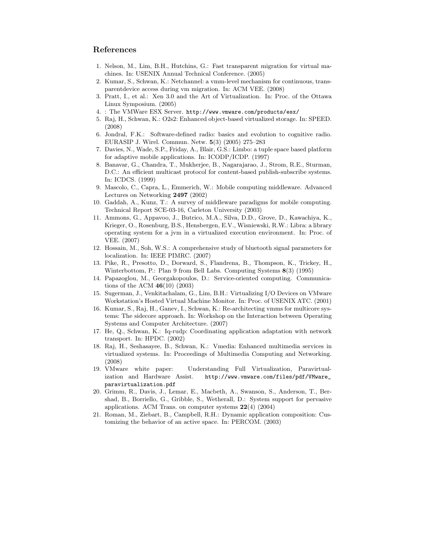### References

- 1. Nelson, M., Lim, B.H., Hutchins, G.: Fast transparent migration for virtual machines. In: USENIX Annual Technical Conference. (2005)
- 2. Kumar, S., Schwan, K.: Netchannel: a vmm-level mechanism for continuous, transparentdevice access during vm migration. In: ACM VEE. (2008)
- 3. Pratt, I., et al.: Xen 3.0 and the Art of Virtualization. In: Proc. of the Ottawa Linux Symposium. (2005)
- 4. : The VMWare ESX Server. http://www.vmware.com/products/esx/
- 5. Raj, H., Schwan, K.: O2s2: Enhanced object-based virtualized storage. In: SPEED. (2008)
- 6. Jondral, F.K.: Software-defined radio: basics and evolution to cognitive radio. EURASIP J. Wirel. Commun. Netw. 5(3) (2005) 275–283
- 7. Davies, N., Wade, S.P., Friday, A., Blair, G.S.: Limbo: a tuple space based platform for adaptive mobile applications. In: ICODP/ICDP. (1997)
- 8. Banavar, G., Chandra, T., Mukherjee, B., Nagarajarao, J., Strom, R.E., Sturman, D.C.: An efficient multicast protocol for content-based publish-subscribe systems. In: ICDCS. (1999)
- 9. Mascolo, C., Capra, L., Emmerich, W.: Mobile computing middleware. Advanced Lectures on Networking 2497 (2002)
- 10. Gaddah, A., Kunz, T.: A survey of middleware paradigms for mobile computing. Technical Report SCE-03-16, Carleton University (2003)
- 11. Ammons, G., Appavoo, J., Butrico, M.A., Silva, D.D., Grove, D., Kawachiya, K., Krieger, O., Rosenburg, B.S., Hensbergen, E.V., Wisniewski, R.W.: Libra: a library operating system for a jvm in a virtualized execution environment. In: Proc. of VEE. (2007)
- 12. Hossain, M., Soh, W.S.: A comprehensive study of bluetooth signal parameters for localization. In: IEEE PIMRC. (2007)
- 13. Pike, R., Presotto, D., Dorward, S., Flandrena, B., Thompson, K., Trickey, H., Winterbottom, P.: Plan 9 from Bell Labs. Computing Systems 8(3) (1995)
- 14. Papazoglou, M., Georgakopoulos, D.: Service-oriented computing. Communications of the ACM 46(10) (2003)
- 15. Sugerman, J., Venkitachalam, G., Lim, B.H.: Virtualizing I/O Devices on VMware Workstation's Hosted Virtual Machine Monitor. In: Proc. of USENIX ATC. (2001)
- 16. Kumar, S., Raj, H., Ganev, I., Schwan, K.: Re-architecting vmms for multicore systems: The sidecore approach. In: Workshop on the Interaction between Operating Systems and Computer Architecture. (2007)
- 17. He, Q., Schwan, K.: Iq-rudp: Coordinating application adaptation with network transport. In: HPDC. (2002)
- 18. Raj, H., Seshasayee, B., Schwan, K.: Vmedia: Enhanced multimedia services in virtualized systems. In: Proceedings of Multimedia Computing and Networking. (2008)
- 19. VMware white paper: Understanding Full Virtualization, Paravirtualization and Hardware Assist. http://www.vmware.com/files/pdf/VMware\_ paravirtualization.pdf
- 20. Grimm, R., Davis, J., Lemar, E., Macbeth, A., Swanson, S., Anderson, T., Bershad, B., Borriello, G., Gribble, S., Wetherall, D.: System support for pervasive applications. ACM Trans. on computer systems 22(4) (2004)
- 21. Roman, M., Ziebart, B., Campbell, R.H.: Dynamic application composition: Customizing the behavior of an active space. In: PERCOM. (2003)